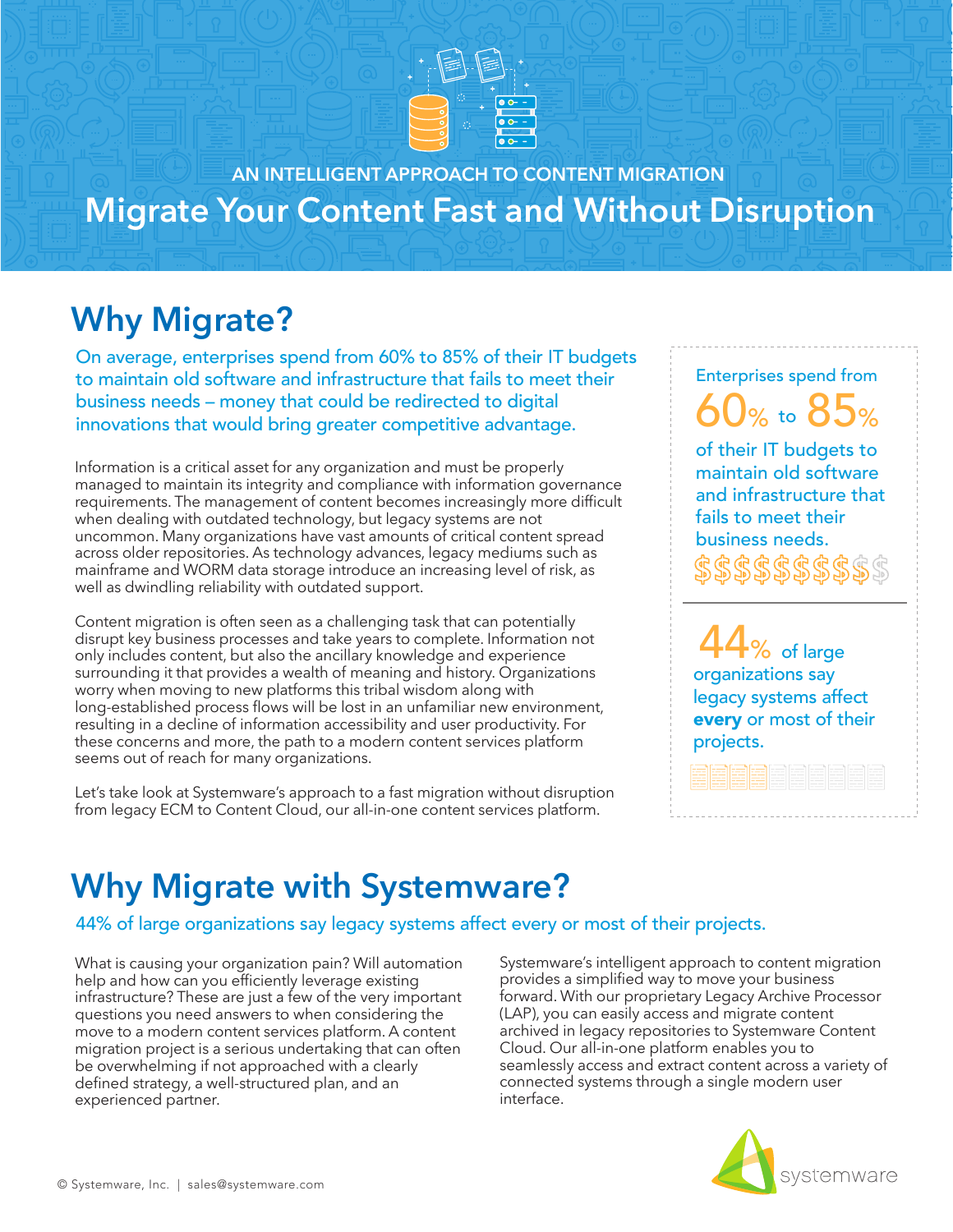

**AN INTELLIGENT APPROACH TO CONTENT MIGRATION Migrate Your Content Fast and Without Disruption**

# **Why Migrate?**

On average, enterprises spend from 60% to 85% of their IT budgets to maintain old software and infrastructure that fails to meet their business needs – money that could be redirected to digital innovations that would bring greater competitive advantage.

Information is a critical asset for any organization and must be properly managed to maintain its integrity and compliance with information governance requirements. The management of content becomes increasingly more difficult when dealing with outdated technology, but legacy systems are not uncommon. Many organizations have vast amounts of critical content spread across older repositories. As technology advances, legacy mediums such as mainframe and WORM data storage introduce an increasing level of risk, as well as dwindling reliability with outdated support.

Content migration is often seen as a challenging task that can potentially disrupt key business processes and take years to complete. Information not only includes content, but also the ancillary knowledge and experience surrounding it that provides a wealth of meaning and history. Organizations worry when moving to new platforms this tribal wisdom along with long-established process flows will be lost in an unfamiliar new environment, resulting in a decline of information accessibility and user productivity. For these concerns and more, the path to a modern content services platform seems out of reach for many organizations.

Let's take look at Systemware's approach to a fast migration without disruption from legacy ECM to Content Cloud, our all-in-one content services platform.

Enterprises spend from % to  $8$ 

of their IT budgets to maintain old software and infrastructure that fails to meet their business needs.

of large organizations say legacy systems affect every or most of their projects.

# **Why Migrate with Systemware?**

44% of large organizations say legacy systems affect every or most of their projects.

What is causing your organization pain? Will automation help and how can you efficiently leverage existing infrastructure? These are just a few of the very important questions you need answers to when considering the move to a modern content services platform. A content migration project is a serious undertaking that can often be overwhelming if not approached with a clearly defined strategy, a well-structured plan, and an experienced partner.

Systemware's intelligent approach to content migration provides a simplified way to move your business forward. With our proprietary Legacy Archive Processor (LAP), you can easily access and migrate content archived in legacy repositories to Systemware Content Cloud. Our all-in-one platform enables you to seamlessly access and extract content across a variety of connected systems through a single modern user interface.

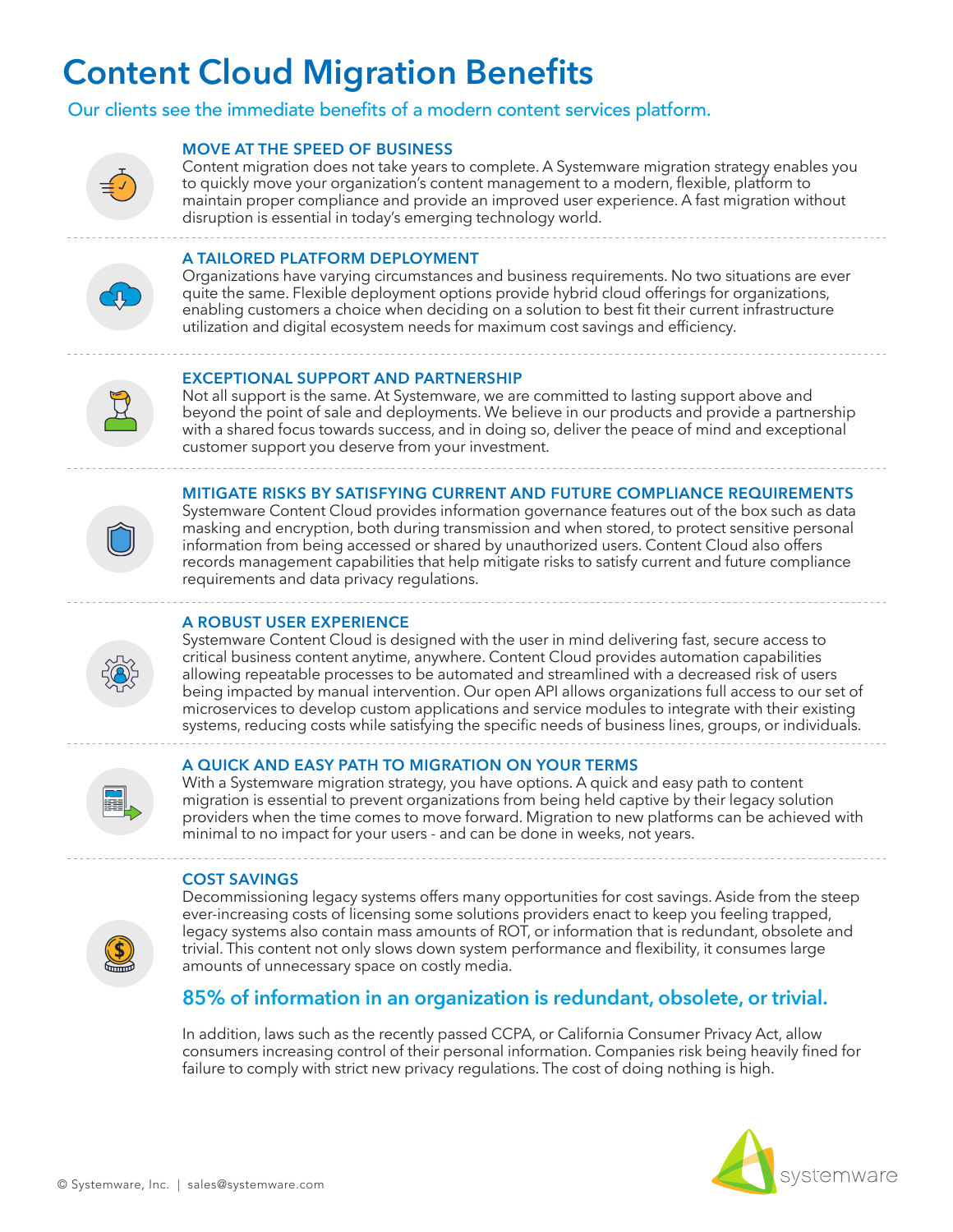# **Content Cloud Migration Benefits**

### Our clients see the immediate benefits of a modern content services platform.



### **MOVE AT THE SPEED OF BUSINESS**

Content migration does not take years to complete. A Systemware migration strategy enables you to quickly move your organization's content management to a modern, flexible, platform to maintain proper compliance and provide an improved user experience. A fast migration without disruption is essential in today's emerging technology world.

#### **A TAILORED PLATFORM DEPLOYMENT**

Organizations have varying circumstances and business requirements. No two situations are ever quite the same. Flexible deployment options provide hybrid cloud offerings for organizations, enabling customers a choice when deciding on a solution to best fit their current infrastructure utilization and digital ecosystem needs for maximum cost savings and efficiency.

## **EXCEPTIONAL SUPPORT AND PARTNERSHIP**

Not all support is the same. At Systemware, we are committed to lasting support above and beyond the point of sale and deployments. We believe in our products and provide a partnership with a shared focus towards success, and in doing so, deliver the peace of mind and exceptional customer support you deserve from your investment.

#### **MITIGATE RISKS BY SATISFYING CURRENT AND FUTURE COMPLIANCE REQUIREMENTS**



Systemware Content Cloud provides information governance features out of the box such as data masking and encryption, both during transmission and when stored, to protect sensitive personal information from being accessed or shared by unauthorized users. Content Cloud also offers records management capabilities that help mitigate risks to satisfy current and future compliance requirements and data privacy regulations.

### **A ROBUST USER EXPERIENCE**

Systemware Content Cloud is designed with the user in mind delivering fast, secure access to critical business content anytime, anywhere. Content Cloud provides automation capabilities allowing repeatable processes to be automated and streamlined with a decreased risk of users being impacted by manual intervention. Our open API allows organizations full access to our set of microservices to develop custom applications and service modules to integrate with their existing systems, reducing costs while satisfying the specific needs of business lines, groups, or individuals.



#### **A QUICK AND EASY PATH TO MIGRATION ON YOUR TERMS**

With a Systemware migration strategy, you have options. A quick and easy path to content migration is essential to prevent organizations from being held captive by their legacy solution providers when the time comes to move forward. Migration to new platforms can be achieved with minimal to no impact for your users - and can be done in weeks, not years.

#### **COST SAVINGS**



Decommissioning legacy systems offers many opportunities for cost savings. Aside from the steep ever-increasing costs of licensing some solutions providers enact to keep you feeling trapped, legacy systems also contain mass amounts of ROT, or information that is redundant, obsolete and trivial. This content not only slows down system performance and flexibility, it consumes large amounts of unnecessary space on costly media.

## **85% of information in an organization is redundant, obsolete, or trivial.**

In addition, laws such as the recently passed CCPA, or California Consumer Privacy Act, allow consumers increasing control of their personal information. Companies risk being heavily fined for failure to comply with strict new privacy regulations. The cost of doing nothing is high.